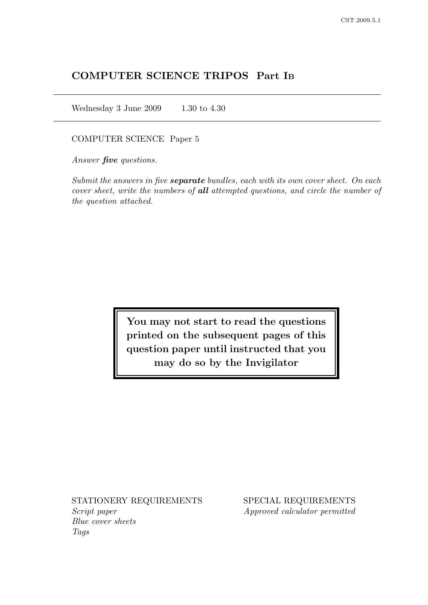# COMPUTER SCIENCE TRIPOS Part I<sup>B</sup>

Wednesday 3 June 2009 1.30 to 4.30

COMPUTER SCIENCE Paper 5

Answer **five** questions.

Submit the answers in five **separate** bundles, each with its own cover sheet. On each cover sheet, write the numbers of all attempted questions, and circle the number of the question attached.

> You may not start to read the questions printed on the subsequent pages of this question paper until instructed that you may do so by the Invigilator

Script paper Approved calculator permitted Blue cover sheets Tags

STATIONERY REQUIREMENTS SPECIAL REQUIREMENTS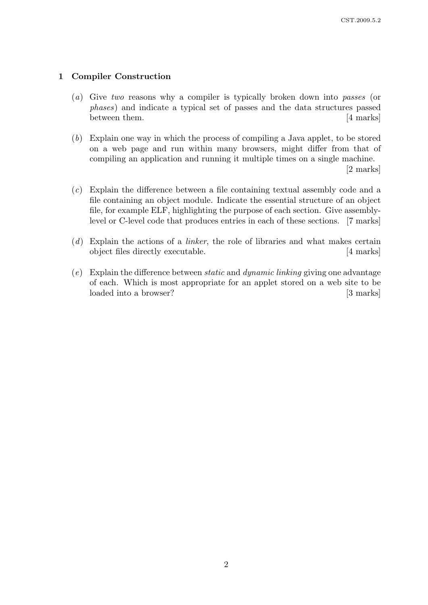### 1 Compiler Construction

- (a) Give two reasons why a compiler is typically broken down into passes (or phases) and indicate a typical set of passes and the data structures passed between them. [4 marks]
- (b) Explain one way in which the process of compiling a Java applet, to be stored on a web page and run within many browsers, might differ from that of compiling an application and running it multiple times on a single machine.

[2 marks]

- (c) Explain the difference between a file containing textual assembly code and a file containing an object module. Indicate the essential structure of an object file, for example ELF, highlighting the purpose of each section. Give assemblylevel or C-level code that produces entries in each of these sections. [7 marks]
- $(d)$  Explain the actions of a *linker*, the role of libraries and what makes certain object files directly executable. [4 marks]
- $(e)$  Explain the difference between *static* and *dynamic linking* giving one advantage of each. Which is most appropriate for an applet stored on a web site to be loaded into a browser? [3 marks]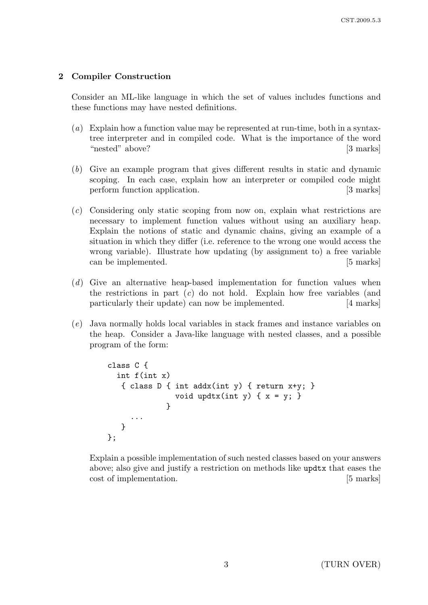## 2 Compiler Construction

Consider an ML-like language in which the set of values includes functions and these functions may have nested definitions.

- (a) Explain how a function value may be represented at run-time, both in a syntaxtree interpreter and in compiled code. What is the importance of the word "nested" above? [3 marks]
- (b) Give an example program that gives different results in static and dynamic scoping. In each case, explain how an interpreter or compiled code might perform function application. [3 marks]
- (c) Considering only static scoping from now on, explain what restrictions are necessary to implement function values without using an auxiliary heap. Explain the notions of static and dynamic chains, giving an example of a situation in which they differ (i.e. reference to the wrong one would access the wrong variable). Illustrate how updating (by assignment to) a free variable can be implemented. [5 marks]
- (d) Give an alternative heap-based implementation for function values when the restrictions in part  $(c)$  do not hold. Explain how free variables (and particularly their update) can now be implemented. [4 marks]
- (e) Java normally holds local variables in stack frames and instance variables on the heap. Consider a Java-like language with nested classes, and a possible program of the form:

```
class C {
  int f(int x)
   { class D { int addx(int y) { return x+y; }
               void updtx(int y) { x = y; }
              }
     ...
   }
};
```
Explain a possible implementation of such nested classes based on your answers above; also give and justify a restriction on methods like updtx that eases the cost of implementation. [5 marks]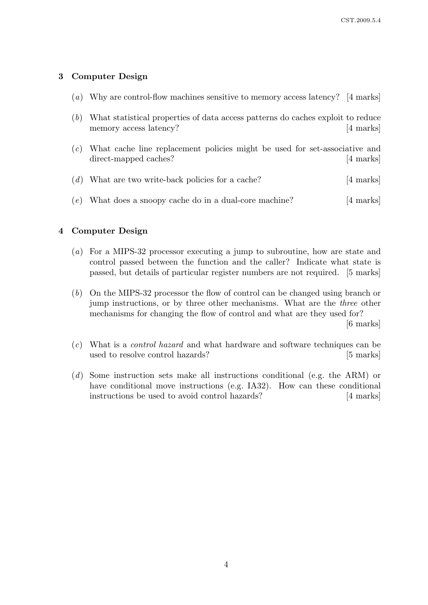## 3 Computer Design

- (a) Why are control-flow machines sensitive to memory access latency? [4 marks]
- (b) What statistical properties of data access patterns do caches exploit to reduce memory access latency? [4 marks]
- (c) What cache line replacement policies might be used for set-associative and direct-mapped caches? [4 marks]

|  | $(d)$ What are two write-back policies for a cache? | [4 marks] |
|--|-----------------------------------------------------|-----------|
|--|-----------------------------------------------------|-----------|

(e) What does a snoopy cache do in a dual-core machine? [4 marks]

## 4 Computer Design

- (a) For a MIPS-32 processor executing a jump to subroutine, how are state and control passed between the function and the caller? Indicate what state is passed, but details of particular register numbers are not required. [5 marks]
- (b) On the MIPS-32 processor the flow of control can be changed using branch or jump instructions, or by three other mechanisms. What are the three other mechanisms for changing the flow of control and what are they used for?

[6 marks]

- (c) What is a control hazard and what hardware and software techniques can be used to resolve control hazards? [5 marks]
- (d) Some instruction sets make all instructions conditional (e.g. the ARM) or have conditional move instructions (e.g. IA32). How can these conditional instructions be used to avoid control hazards? [4 marks]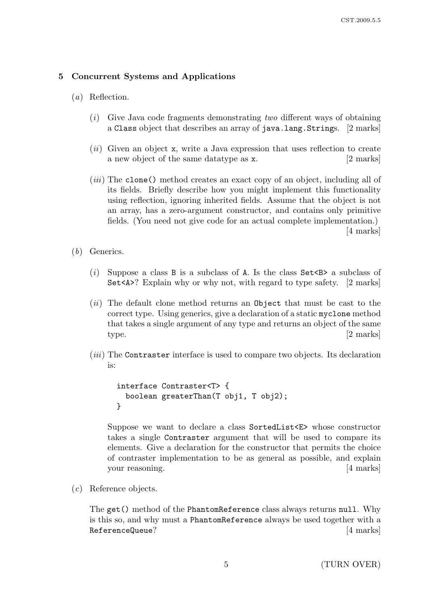### 5 Concurrent Systems and Applications

- (a) Reflection.
	- $(i)$  Give Java code fragments demonstrating two different ways of obtaining a Class object that describes an array of java.lang.Strings. [2 marks]
	- $(ii)$  Given an object x, write a Java expression that uses reflection to create a new object of the same datatype as x. [2 marks]
	- (iii) The clone() method creates an exact copy of an object, including all of its fields. Briefly describe how you might implement this functionality using reflection, ignoring inherited fields. Assume that the object is not an array, has a zero-argument constructor, and contains only primitive fields. (You need not give code for an actual complete implementation.) [4 marks]
- (b) Generics.
	- (i) Suppose a class B is a subclass of A. Is the class  $Set < B$  a subclass of Set<A>? Explain why or why not, with regard to type safety. [2 marks]
	- $(ii)$  The default clone method returns an Object that must be cast to the correct type. Using generics, give a declaration of a static myclone method that takes a single argument of any type and returns an object of the same type. [2 marks]
	- (*iii*) The Contraster interface is used to compare two objects. Its declaration is:

```
interface Contraster<T> {
 boolean greaterThan(T obj1, T obj2);
}
```
Suppose we want to declare a class SortedList<E> whose constructor takes a single Contraster argument that will be used to compare its elements. Give a declaration for the constructor that permits the choice of contraster implementation to be as general as possible, and explain your reasoning. [4 marks]

(c) Reference objects.

The get() method of the PhantomReference class always returns null. Why is this so, and why must a PhantomReference always be used together with a ReferenceQueue? [4 marks]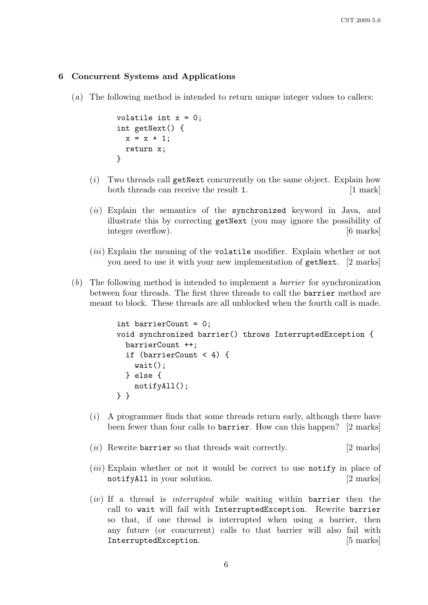#### 6 Concurrent Systems and Applications

(a) The following method is intended to return unique integer values to callers:

```
volatile int x = 0;
int getNext() {
 x = x + 1;
 return x;
}
```
- $(i)$  Two threads call getNext concurrently on the same object. Explain how both threads can receive the result 1. [1 mark]
- (ii) Explain the semantics of the synchronized keyword in Java, and illustrate this by correcting getNext (you may ignore the possibility of integer overflow). [6 marks]
- (*iii*) Explain the meaning of the volatile modifier. Explain whether or not you need to use it with your new implementation of getNext. [2 marks]
- (b) The following method is intended to implement a barrier for synchronization between four threads. The first three threads to call the barrier method are meant to block. These threads are all unblocked when the fourth call is made.

```
int barrierCount = 0;
void synchronized barrier() throws InterruptedException {
 barrierCount ++;
  if (barrierCount < 4) {
    wait();
  } else {
    notifyAll();
} }
```
- (i) A programmer finds that some threads return early, although there have been fewer than four calls to barrier. How can this happen? [2 marks]
- $(ii)$  Rewrite barrier so that threads wait correctly. [2 marks]
- $(iii)$  Explain whether or not it would be correct to use notify in place of notifyAll in your solution. [2 marks]
- (iv) If a thread is interrupted while waiting within barrier then the call to wait will fail with InterruptedException. Rewrite barrier so that, if one thread is interrupted when using a barrier, then any future (or concurrent) calls to that barrier will also fail with InterruptedException. [5 marks]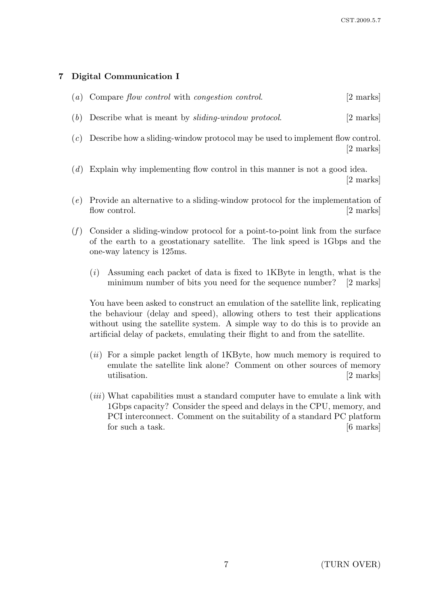## 7 Digital Communication I

|  | $(a)$ Compare flow control with congestion control. |  |  |  | $[2 \text{ marks}]$ |
|--|-----------------------------------------------------|--|--|--|---------------------|
|--|-----------------------------------------------------|--|--|--|---------------------|

- (b) Describe what is meant by *sliding-window protocol*.  $[2 \text{ marks}]$
- (c) Describe how a sliding-window protocol may be used to implement flow control. [2 marks]
- (d) Explain why implementing flow control in this manner is not a good idea. [2 marks]
- (e) Provide an alternative to a sliding-window protocol for the implementation of flow control. [2 marks]
- $(f)$  Consider a sliding-window protocol for a point-to-point link from the surface of the earth to a geostationary satellite. The link speed is 1Gbps and the one-way latency is 125ms.
	- $(i)$  Assuming each packet of data is fixed to 1KByte in length, what is the minimum number of bits you need for the sequence number? [2 marks]

You have been asked to construct an emulation of the satellite link, replicating the behaviour (delay and speed), allowing others to test their applications without using the satellite system. A simple way to do this is to provide an artificial delay of packets, emulating their flight to and from the satellite.

- $(ii)$  For a simple packet length of 1KByte, how much memory is required to emulate the satellite link alone? Comment on other sources of memory utilisation. [2 marks]
- (*iii*) What capabilities must a standard computer have to emulate a link with 1Gbps capacity? Consider the speed and delays in the CPU, memory, and PCI interconnect. Comment on the suitability of a standard PC platform for such a task. [6 marks]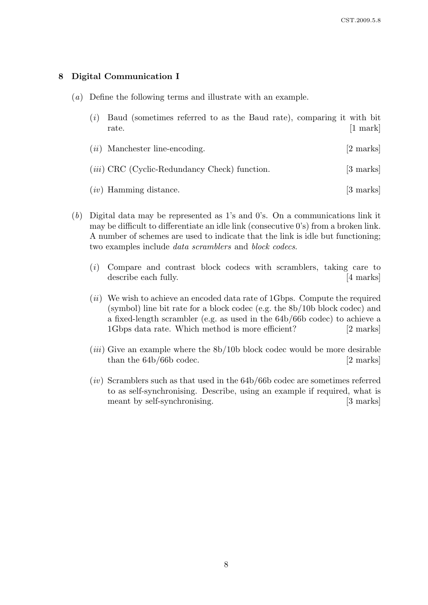## 8 Digital Communication I

- (a) Define the following terms and illustrate with an example.
	- (i) Baud (sometimes referred to as the Baud rate), comparing it with bit rate. [1 mark]
	- (*ii*) Manchester line-encoding. [2 marks]
	- (*iii*) CRC (Cyclic-Redundancy Check) function. [3 marks]
	- $(iv)$  Hamming distance. [3 marks]
- (b) Digital data may be represented as 1's and 0's. On a communications link it may be difficult to differentiate an idle link (consecutive 0's) from a broken link. A number of schemes are used to indicate that the link is idle but functioning; two examples include data scramblers and block codecs.
	- (i) Compare and contrast block codecs with scramblers, taking care to describe each fully. [4 marks]
	- $(ii)$  We wish to achieve an encoded data rate of 1Gbps. Compute the required (symbol) line bit rate for a block codec (e.g. the 8b/10b block codec) and a fixed-length scrambler (e.g. as used in the 64b/66b codec) to achieve a 1Gbps data rate. Which method is more efficient? [2 marks]
	- $(iii)$  Give an example where the  $8b/10b$  block codec would be more desirable than the 64b/66b codec. [2 marks]
	- $(iv)$  Scramblers such as that used in the 64b/66b codec are sometimes referred to as self-synchronising. Describe, using an example if required, what is meant by self-synchronising. [3 marks]